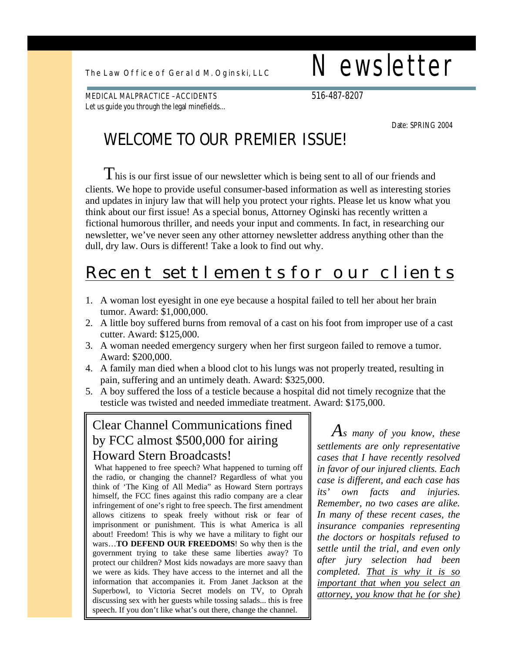The Law Office of Geral d M. Oginski, LLC  $\blacksquare$  Newsletter

MEDICAL MALPRACTICE – ACCIDENTS 516-487-8207 Let us guide you through the legal minefields…

Date: SPRING 2004

## **WELCOME TO OUR PREMIER ISSUE!**

 $\rm T$ his is our first issue of our newsletter which is being sent to all of our friends and clients. We hope to provide useful consumer-based information as well as interesting stories and updates in injury law that will help you protect your rights. Please let us know what you think about our first issue! As a special bonus, Attorney Oginski has recently written a fictional humorous thriller, and needs your input and comments. In fact, in researching our newsletter, we've never seen any other attorney newsletter address anything other than the dull, dry law. Ours is different! Take a look to find out why.

# Recent settlements for our clients

- 1. A woman lost eyesight in one eye because a hospital failed to tell her about her brain tumor. Award: \$1,000,000.
- 2. A little boy suffered burns from removal of a cast on his foot from improper use of a cast cutter. Award: \$125,000.
- 3. A woman needed emergency surgery when her first surgeon failed to remove a tumor. Award: \$200,000.
- 4. A family man died when a blood clot to his lungs was not properly treated, resulting in pain, suffering and an untimely death. Award: \$325,000.
- 5. A boy suffered the loss of a testicle because a hospital did not timely recognize that the testicle was twisted and needed immediate treatment. Award: \$175,000.

### Clear Channel Communications fined by FCC almost \$500,000 for airing Howard Stern Broadcasts!

 What happened to free speech? What happened to turning off the radio, or changing the channel? Regardless of what you think of 'The King of All Media" as Howard Stern portrays himself, the FCC fines against this radio company are a clear infringement of one's right to free speech. The first amendment allows citizens to speak freely without risk or fear of imprisonment or punishment. This is what America is all about! Freedom! This is why we have a military to fight our wars…**TO DEFEND OUR FREEDOMS**! So why then is the government trying to take these same liberties away? To protect our children? Most kids nowadays are more saavy than we were as kids. They have access to the internet and all the information that accompanies it. From Janet Jackson at the Superbowl, to Victoria Secret models on TV, to Oprah discussing sex with her guests while tossing salads... this is free speech. If you don't like what's out there, change the channel.

*As many of you know, these settlements are only representative cases that I have recently resolved in favor of our injured clients. Each case is different, and each case has its' own facts and injuries. Remember, no two cases are alike. In many of these recent cases, the insurance companies representing the doctors or hospitals refused to settle until the trial, and even only after jury selection had been completed. That is why it is so important that when you select an attorney, you know that he (or she)*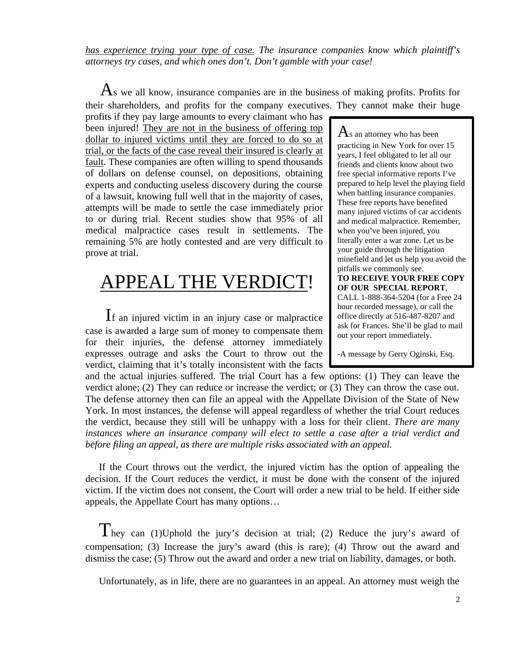*has experience trying your type of case. The insurance companies know which plaintiff's attorneys try cases, and which ones don't. Don't gamble with your case!*

 $\mathbf{A}$ s we all know, insurance companies are in the business of making profits. Profits for their shareholders, and profits for the company executives. They cannot make their huge

profits if they pay large amounts to every claimant who has been injured! They are not in the business of offering top dollar to injured victims until they are forced to do so at trial, or the facts of the case reveal their insured is clearly at fault. These companies are often willing to spend thousands of dollars on defense counsel, on depositions, obtaining experts and conducting useless discovery during the course of a lawsuit, knowing full well that in the majority of cases, attempts will be made to settle the case immediately prior to or during trial. Recent studies show that 95% of all medical malpractice cases result in settlements. The remaining 5% are hotly contested and are very difficult to prove at trial.

# APPEAL THE VERDICT!

If an injured victim in an injury case or malpractice case is awarded a large sum of money to compensate them for their injuries, the defense attorney immediately expresses outrage and asks the Court to throw out the verdict, claiming that it's totally inconsistent with the facts

 $\rm A$ s an attorney who has been practicing in New York for over 15 years, I feel obligated to let all our friends and clients know about two free special informative reports I've prepared to help level the playing field when battling insurance companies. These free reports have benefited many injured victims of car accidents and medical malpractice. Remember, when you've been injured, you literally enter a war zone. Let us be your guide through the litigation minefield and let us help you avoid the pitfalls we commonly see. **TO RECEIVE YOUR FREE COPY OF OUR SPECIAL REPORT**, CALL 1-888-364-5204 (for a Free 24 hour recorded message), or call the office directly at 516-487-8207 and ask for Frances. She'll be glad to mail

-A message by Gerry Oginski, Esq.

out your report immediately.

and the actual injuries suffered. The trial Court has a few options: (1) They can leave the verdict alone; (2) They can reduce or increase the verdict; or (3) They can throw the case out. The defense attorney then can file an appeal with the Appellate Division of the State of New York. In most instances, the defense will appeal regardless of whether the trial Court reduces the verdict, because they still will be unhappy with a loss for their client. *There are many instances where an insurance company will elect to settle a case after a trial verdict and before filing an appeal, as there are multiple risks associated with an appeal.*

If the Court throws out the verdict, the injured victim has the option of appealing the decision. If the Court reduces the verdict, it must be done with the consent of the injured victim. If the victim does not consent, the Court will order a new trial to be held. If either side appeals, the Appellate Court has many options…

They can (1)Uphold the jury's decision at trial; (2) Reduce the jury's award of compensation; (3) Increase the jury's award (this is rare); (4) Throw out the award and dismiss the case; (5) Throw out the award and order a new trial on liability, damages, or both.

Unfortunately, as in life, there are no guarantees in an appeal. An attorney must weigh the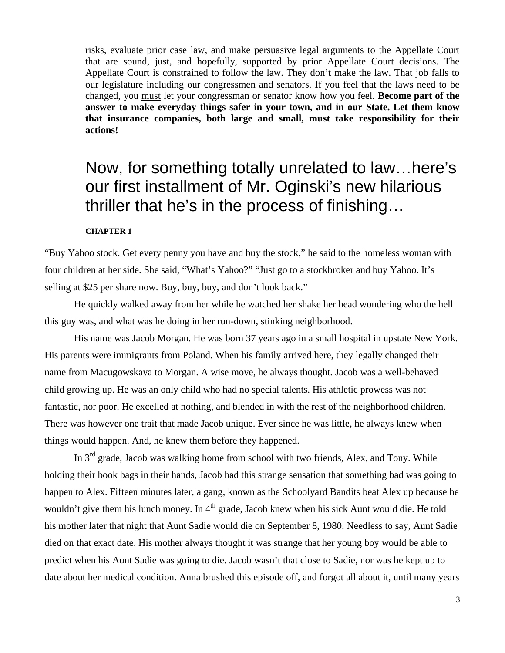risks, evaluate prior case law, and make persuasive legal arguments to the Appellate Court that are sound, just, and hopefully, supported by prior Appellate Court decisions. The Appellate Court is constrained to follow the law. They don't make the law. That job falls to our legislature including our congressmen and senators. If you feel that the laws need to be changed, you must let your congressman or senator know how you feel. **Become part of the answer to make everyday things safer in your town, and in our State. Let them know that insurance companies, both large and small, must take responsibility for their actions!**

## Now, for something totally unrelated to law…here's our first installment of Mr. Oginski's new hilarious thriller that he's in the process of finishing…

#### **CHAPTER 1**

"Buy Yahoo stock. Get every penny you have and buy the stock," he said to the homeless woman with four children at her side. She said, "What's Yahoo?" "Just go to a stockbroker and buy Yahoo. It's selling at \$25 per share now. Buy, buy, buy, and don't look back."

He quickly walked away from her while he watched her shake her head wondering who the hell this guy was, and what was he doing in her run-down, stinking neighborhood.

His name was Jacob Morgan. He was born 37 years ago in a small hospital in upstate New York. His parents were immigrants from Poland. When his family arrived here, they legally changed their name from Macugowskaya to Morgan. A wise move, he always thought. Jacob was a well-behaved child growing up. He was an only child who had no special talents. His athletic prowess was not fantastic, nor poor. He excelled at nothing, and blended in with the rest of the neighborhood children. There was however one trait that made Jacob unique. Ever since he was little, he always knew when things would happen. And, he knew them before they happened.

In 3<sup>rd</sup> grade, Jacob was walking home from school with two friends, Alex, and Tony. While holding their book bags in their hands, Jacob had this strange sensation that something bad was going to happen to Alex. Fifteen minutes later, a gang, known as the Schoolyard Bandits beat Alex up because he wouldn't give them his lunch money. In 4<sup>th</sup> grade, Jacob knew when his sick Aunt would die. He told his mother later that night that Aunt Sadie would die on September 8, 1980. Needless to say, Aunt Sadie died on that exact date. His mother always thought it was strange that her young boy would be able to predict when his Aunt Sadie was going to die. Jacob wasn't that close to Sadie, nor was he kept up to date about her medical condition. Anna brushed this episode off, and forgot all about it, until many years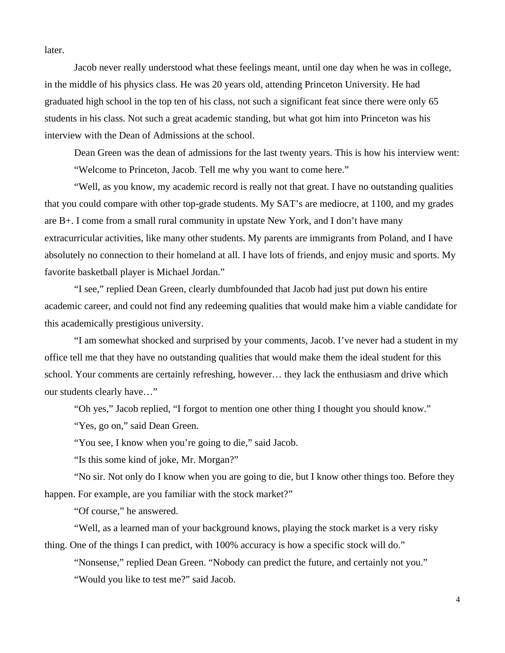later.

Jacob never really understood what these feelings meant, until one day when he was in college, in the middle of his physics class. He was 20 years old, attending Princeton University. He had graduated high school in the top ten of his class, not such a significant feat since there were only 65 students in his class. Not such a great academic standing, but what got him into Princeton was his interview with the Dean of Admissions at the school.

Dean Green was the dean of admissions for the last twenty years. This is how his interview went: "Welcome to Princeton, Jacob. Tell me why you want to come here."

"Well, as you know, my academic record is really not that great. I have no outstanding qualities that you could compare with other top-grade students. My SAT's are mediocre, at 1100, and my grades are B+. I come from a small rural community in upstate New York, and I don't have many extracurricular activities, like many other students. My parents are immigrants from Poland, and I have absolutely no connection to their homeland at all. I have lots of friends, and enjoy music and sports. My favorite basketball player is Michael Jordan."

"I see," replied Dean Green, clearly dumbfounded that Jacob had just put down his entire academic career, and could not find any redeeming qualities that would make him a viable candidate for this academically prestigious university.

"I am somewhat shocked and surprised by your comments, Jacob. I've never had a student in my office tell me that they have no outstanding qualities that would make them the ideal student for this school. Your comments are certainly refreshing, however… they lack the enthusiasm and drive which our students clearly have…"

"Oh yes," Jacob replied, "I forgot to mention one other thing I thought you should know."

"Yes, go on," said Dean Green.

"You see, I know when you're going to die," said Jacob.

"Is this some kind of joke, Mr. Morgan?"

"No sir. Not only do I know when you are going to die, but I know other things too. Before they happen. For example, are you familiar with the stock market?"

"Of course," he answered.

"Well, as a learned man of your background knows, playing the stock market is a very risky thing. One of the things I can predict, with 100% accuracy is how a specific stock will do."

"Nonsense," replied Dean Green. "Nobody can predict the future, and certainly not you."

"Would you like to test me?" said Jacob.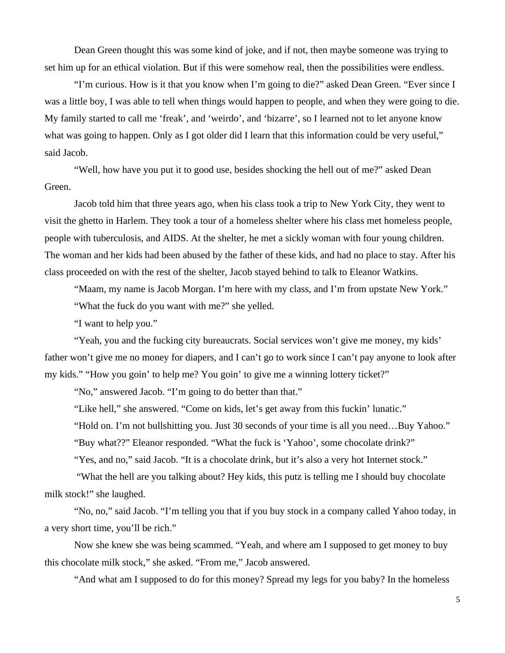Dean Green thought this was some kind of joke, and if not, then maybe someone was trying to set him up for an ethical violation. But if this were somehow real, then the possibilities were endless.

"I'm curious. How is it that you know when I'm going to die?" asked Dean Green. "Ever since I was a little boy, I was able to tell when things would happen to people, and when they were going to die. My family started to call me 'freak', and 'weirdo', and 'bizarre', so I learned not to let anyone know what was going to happen. Only as I got older did I learn that this information could be very useful," said Jacob.

"Well, how have you put it to good use, besides shocking the hell out of me?" asked Dean Green.

Jacob told him that three years ago, when his class took a trip to New York City, they went to visit the ghetto in Harlem. They took a tour of a homeless shelter where his class met homeless people, people with tuberculosis, and AIDS. At the shelter, he met a sickly woman with four young children. The woman and her kids had been abused by the father of these kids, and had no place to stay. After his class proceeded on with the rest of the shelter, Jacob stayed behind to talk to Eleanor Watkins.

"Maam, my name is Jacob Morgan. I'm here with my class, and I'm from upstate New York." "What the fuck do you want with me?" she yelled.

"I want to help you."

"Yeah, you and the fucking city bureaucrats. Social services won't give me money, my kids' father won't give me no money for diapers, and I can't go to work since I can't pay anyone to look after my kids." "How you goin' to help me? You goin' to give me a winning lottery ticket?"

"No," answered Jacob. "I'm going to do better than that."

"Like hell," she answered. "Come on kids, let's get away from this fuckin' lunatic."

"Hold on. I'm not bullshitting you. Just 30 seconds of your time is all you need…Buy Yahoo."

"Buy what??" Eleanor responded. "What the fuck is 'Yahoo', some chocolate drink?"

"Yes, and no," said Jacob. "It is a chocolate drink, but it's also a very hot Internet stock."

 "What the hell are you talking about? Hey kids, this putz is telling me I should buy chocolate milk stock!" she laughed.

"No, no," said Jacob. "I'm telling you that if you buy stock in a company called Yahoo today, in a very short time, you'll be rich."

Now she knew she was being scammed. "Yeah, and where am I supposed to get money to buy this chocolate milk stock," she asked. "From me," Jacob answered.

"And what am I supposed to do for this money? Spread my legs for you baby? In the homeless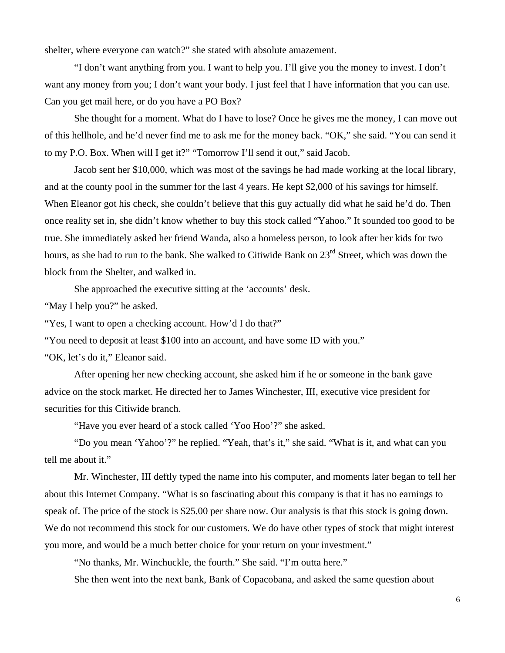shelter, where everyone can watch?" she stated with absolute amazement.

"I don't want anything from you. I want to help you. I'll give you the money to invest. I don't want any money from you; I don't want your body. I just feel that I have information that you can use. Can you get mail here, or do you have a PO Box?

She thought for a moment. What do I have to lose? Once he gives me the money, I can move out of this hellhole, and he'd never find me to ask me for the money back. "OK," she said. "You can send it to my P.O. Box. When will I get it?" "Tomorrow I'll send it out," said Jacob.

Jacob sent her \$10,000, which was most of the savings he had made working at the local library, and at the county pool in the summer for the last 4 years. He kept \$2,000 of his savings for himself. When Eleanor got his check, she couldn't believe that this guy actually did what he said he'd do. Then once reality set in, she didn't know whether to buy this stock called "Yahoo." It sounded too good to be true. She immediately asked her friend Wanda, also a homeless person, to look after her kids for two hours, as she had to run to the bank. She walked to Citiwide Bank on 23<sup>rd</sup> Street, which was down the block from the Shelter, and walked in.

She approached the executive sitting at the 'accounts' desk.

"May I help you?" he asked.

"Yes, I want to open a checking account. How'd I do that?"

"You need to deposit at least \$100 into an account, and have some ID with you."

"OK, let's do it," Eleanor said.

After opening her new checking account, she asked him if he or someone in the bank gave advice on the stock market. He directed her to James Winchester, III, executive vice president for securities for this Citiwide branch.

"Have you ever heard of a stock called 'Yoo Hoo'?" she asked.

"Do you mean 'Yahoo'?" he replied. "Yeah, that's it," she said. "What is it, and what can you tell me about it."

Mr. Winchester, III deftly typed the name into his computer, and moments later began to tell her about this Internet Company. "What is so fascinating about this company is that it has no earnings to speak of. The price of the stock is \$25.00 per share now. Our analysis is that this stock is going down. We do not recommend this stock for our customers. We do have other types of stock that might interest you more, and would be a much better choice for your return on your investment."

"No thanks, Mr. Winchuckle, the fourth." She said. "I'm outta here."

She then went into the next bank, Bank of Copacobana, and asked the same question about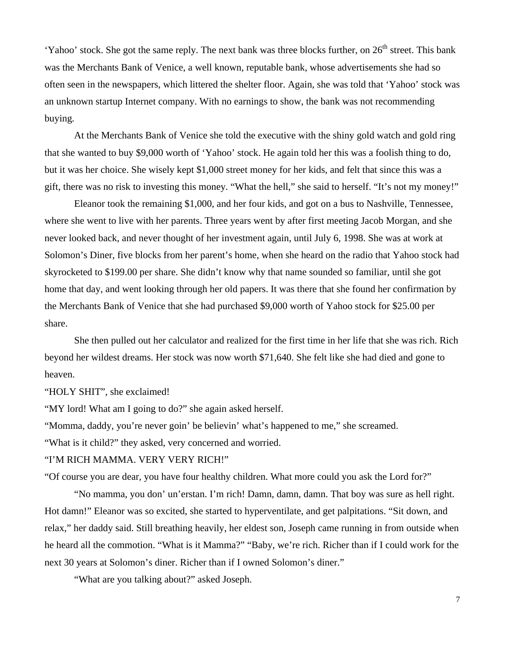'Yahoo' stock. She got the same reply. The next bank was three blocks further, on  $26<sup>th</sup>$  street. This bank was the Merchants Bank of Venice, a well known, reputable bank, whose advertisements she had so often seen in the newspapers, which littered the shelter floor. Again, she was told that 'Yahoo' stock was an unknown startup Internet company. With no earnings to show, the bank was not recommending buying.

At the Merchants Bank of Venice she told the executive with the shiny gold watch and gold ring that she wanted to buy \$9,000 worth of 'Yahoo' stock. He again told her this was a foolish thing to do, but it was her choice. She wisely kept \$1,000 street money for her kids, and felt that since this was a gift, there was no risk to investing this money. "What the hell," she said to herself. "It's not my money!"

Eleanor took the remaining \$1,000, and her four kids, and got on a bus to Nashville, Tennessee, where she went to live with her parents. Three years went by after first meeting Jacob Morgan, and she never looked back, and never thought of her investment again, until July 6, 1998. She was at work at Solomon's Diner, five blocks from her parent's home, when she heard on the radio that Yahoo stock had skyrocketed to \$199.00 per share. She didn't know why that name sounded so familiar, until she got home that day, and went looking through her old papers. It was there that she found her confirmation by the Merchants Bank of Venice that she had purchased \$9,000 worth of Yahoo stock for \$25.00 per share.

She then pulled out her calculator and realized for the first time in her life that she was rich. Rich beyond her wildest dreams. Her stock was now worth \$71,640. She felt like she had died and gone to heaven.

"HOLY SHIT", she exclaimed!

"MY lord! What am I going to do?" she again asked herself.

"Momma, daddy, you're never goin' be believin' what's happened to me," she screamed.

"What is it child?" they asked, very concerned and worried.

#### "I'M RICH MAMMA. VERY VERY RICH!"

"Of course you are dear, you have four healthy children. What more could you ask the Lord for?"

"No mamma, you don' un'erstan. I'm rich! Damn, damn, damn. That boy was sure as hell right. Hot damn!" Eleanor was so excited, she started to hyperventilate, and get palpitations. "Sit down, and relax," her daddy said. Still breathing heavily, her eldest son, Joseph came running in from outside when he heard all the commotion. "What is it Mamma?" "Baby, we're rich. Richer than if I could work for the next 30 years at Solomon's diner. Richer than if I owned Solomon's diner."

"What are you talking about?" asked Joseph.